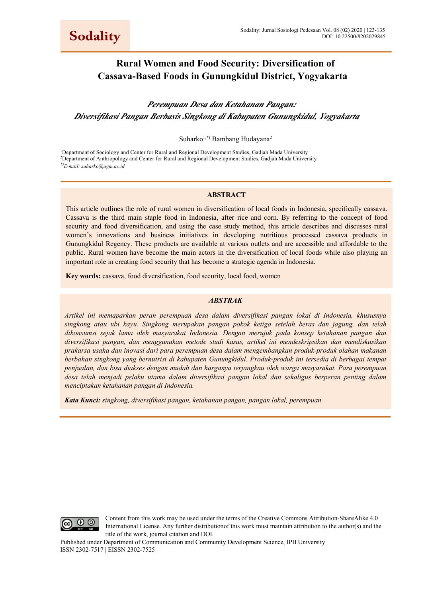# **Rural Women and Food Security: Diversification of Cassava-Based Foods in Gunungkidul District, Yogyakarta**

# *Perempuan Desa dan Ketahanan Pangan: Diversifikasi Pangan Berbasis Singkong di Kabupaten Gunungkidul, Yogyakarta*

Suharko<sup>1,\*)</sup> Bambang Hudayana<sup>2</sup>

<sup>1</sup>Department of Sociology and Center for Rural and Regional Development Studies, Gadjah Mada University 2 Department of Anthropology and Center for Rural and Regional Development Studies, Gadjah Mada University *\*)E-mail: suharko@ugm.ac.id*

#### **ABSTRACT**

This article outlines the role of rural women in diversification of local foods in Indonesia, specifically cassava. Cassava is the third main staple food in Indonesia, after rice and corn. By referring to the concept of food security and food diversification, and using the case study method, this article describes and discusses rural women's innovations and business initiatives in developing nutritious processed cassava products in Gunungkidul Regency. These products are available at various outlets and are accessible and affordable to the public. Rural women have become the main actors in the diversification of local foods while also playing an important role in creating food security that has become a strategic agenda in Indonesia.

**Key words:** cassava, food diversification, food security, local food, women

#### *ABSTRAK*

*Artikel ini memaparkan peran perempuan desa dalam diversifikasi pangan lokal di Indonesia, khususnya singkong atau ubi kayu. Singkong merupakan pangan pokok ketiga setelah beras dan jagung, dan telah dikonsumsi sejak lama oleh masyarakat Indonesia. Dengan merujuk pada konsep ketahanan pangan dan diversifikasi pangan, dan menggunakan metode studi kasus, artikel ini mendeskripsikan dan mendiskusikan prakarsa usaha dan inovasi dari para perempuan desa dalam mengembangkan produk-produk olahan makanan berbahan singkong yang bernutrisi di kabupaten Gunungkidul. Produk-produk ini tersedia di berbagai tempat penjualan, dan bisa diakses dengan mudah dan harganya terjangkau oleh warga masyarakat. Para perempuan desa telah menjadi pelaku utama dalam diversifikasi pangan lokal dan sekaligus berperan penting dalam menciptakan ketahanan pangan di Indonesia.* 

*Kata Kunci: singkong, diversifikasi pangan, ketahanan pangan, pangan lokal, perempuan* 



Content from this work may be used under the terms of the Creative Commons Attribution-ShareAlike 4.0 International License. Any further distributionof this work must maintain attribution to the author(s) and the title of the work, journal citation and DOI.

Published under Department of Communication and Community Development Science, IPB University ISSN 2302-7517 | EISSN 2302-7525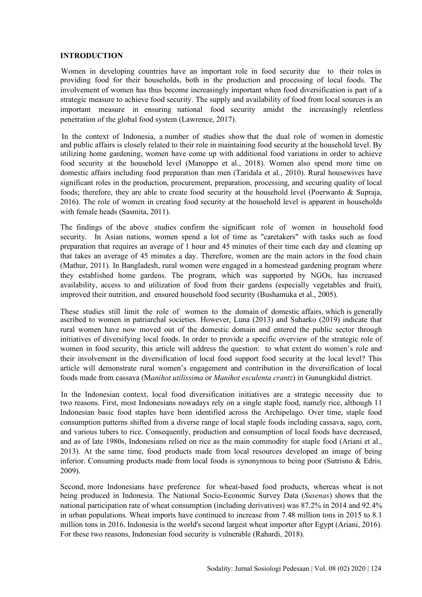# **INTRODUCTION**

providing food for their households, both in the production and processing of local foods. The involvement of women has thus become increasingly important when food diversification is part of a strategic measure to achieve food security. The supply and availability of food from local sources is an Women in developing countries have an important role in food security due to their roles in important measure in ensuring national food security amidst the increasingly relentless penetration of the global food system (Lawrence, 2017).

utilizing home gardening, women have come up with additional food variations in order to achieve food security at the household level (Manoppo et al., 2018). Women also spend more time on domestic affairs including food preparation than men (Taridala et al., 2010). Rural housewives have significant roles in the production, procurement, preparation, processing, and securing quality of local foods; therefore, they are able to create food security at the household level (Poerwanto & Supraja, 2016). The role of women in creating food security at the household level is apparent in households with female heads (Sasmita, 2011). In the context of Indonesia, a number of studies show that the dual role of women in domestic and public affairs is closely related to their role in maintaining food security at the household level. By

security. In Asian nations, women spend a lot of time as "caretakers" with tasks such as food preparation that requires an average of 1 hour and 45 minutes of their time each day and cleaning up that takes an average of 45 minutes a day. Therefore, women are the main actors in the food chain (Mathur, 2011). In Bangladesh, rural women were engaged in a homestead gardening program where they established home gardens. The program, which was supported by NGOs, has increased availability, access to and utilization of food from their gardens (especially vegetables and fruit), improved their nutrition, and ensured household food security (Bushamuka et al., 2005). The findings of the above studies confirm the significant role of women in household food

ascribed to women in patriarchal societies. However, Luna (2013) and Suharko (2019) indicate that rural women have now moved out of the domestic domain and entered the public sector through initiatives of diversifying local foods. In order to provide a specific overview of the strategic role of women in food security, this article will address the question: to what extent do women's role and their involvement in the diversification of local food support food security at the local level? This article will demonstrate rural women's engagement and contribution in the diversification of local foods made from cassava (M*anihot utilissima* or *Manihot esculenta crantz*) in Gunungkidul district. These studies still limit the role of women to the domain of domestic affairs, which is generally

two reasons. First, most Indonesians nowadays rely on a single staple food, namely rice, although 11 Indonesian basic food staples have been identified across the Archipelago. Over time, staple food consumption patterns shifted from a diverse range of local staple foods including cassava, sago, corn, and various tubers to rice. Consequently, production and consumption of local foods have decreased, and as of late 1980s, Indonesians relied on rice as the main commodity for staple food (Ariani et al., 2013). At the same time, food products made from local resources developed an image of being inferior. Consuming products made from local foods is synonymous to being poor (Sutrisno & Edris, 2009). In the Indonesian context, local food diversification initiatives are a strategic necessity due to

being produced in Indonesia. The National Socio-Economic Survey Data (*Susenas*) shows that the national participation rate of wheat consumption (including derivatives) was 87.2% in 2014 and 92.4% in urban populations. Wheat imports have continued to increase from 7.48 million tons in 2015 to 8.1 million tons in 2016. Indonesia is the world's second largest wheat importer after Egypt (Ariani, 2016). For these two reasons, Indonesian food security is vulnerable (Rahardi, 2018). Second, more Indonesians have preference for wheat-based food products, whereas wheat is not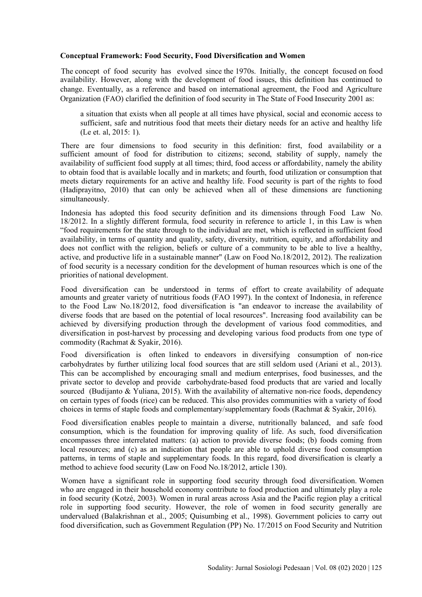# **Conceptual Framework: Food Security, Food Diversification and Women**

availability. However, along with the development of food issues, this definition has continued to change. Eventually, as a reference and based on international agreement, the Food and Agriculture Organization (FAO) clarified the definition of food security in The State of Food Insecurity 2001 as: The concept of food security has evolved since the 1970s. Initially, the concept focused on food

a situation that exists when all people at all times have physical, social and economic access to sufficient, safe and nutritious food that meets their dietary needs for an active and healthy life (Le et. al, 2015: 1).

sufficient amount of food for distribution to citizens; second, stability of supply, namely the availability of sufficient food supply at all times; third, food access or affordability, namely the ability to obtain food that is available locally and in markets; and fourth, food utilization or consumption that meets dietary requirements for an active and healthy life. Food security is part of the rights to food (Hadiprayitno, 2010) that can only be achieved when all of these dimensions are functioning simultaneously. There are four dimensions to food security in this definition: first, food availability or a

18/2012. In a slightly different formula, food security in reference to article 1, in this Law is when "food requirements for the state through to the individual are met, which is reflected in sufficient food availability, in terms of quantity and quality, safety, diversity, nutrition, equity, and affordability and does not conflict with the religion, beliefs or culture of a community to be able to live a healthy, active, and productive life in a sustainable manner" (Law on Food No.18/2012, 2012). The realization of food security is a necessary condition for the development of human resources which is one of the priorities of national development. Indonesia has adopted this food security definition and its dimensions through Food Law No.

amounts and greater variety of nutritious foods (FAO 1997). In the context of Indonesia, in reference to the Food Law No.18/2012, food diversification is "an endeavor to increase the availability of diverse foods that are based on the potential of local resources". Increasing food availability can be achieved by diversifying production through the development of various food commodities, and diversification in post-harvest by processing and developing various food products from one type of commodity (Rachmat & Syakir, 2016). Food diversification can be understood in terms of effort to create availability of adequate

carbohydrates by further utilizing local food sources that are still seldom used (Ariani et al., 2013). This can be accomplished by encouraging small and medium enterprises, food businesses, and the private sector to develop and provide carbohydrate-based food products that are varied and locally sourced (Budijanto & Yuliana, 2015). With the availability of alternative non-rice foods, dependency on certain types of foods (rice) can be reduced. This also provides communities with a variety of food choices in terms of staple foods and complementary/supplementary foods (Rachmat & Syakir, 2016). Food diversification is often linked to endeavors in diversifying consumption of non-rice

consumption, which is the foundation for improving quality of life. As such, food diversification encompasses three interrelated matters: (a) action to provide diverse foods; (b) foods coming from local resources; and (c) as an indication that people are able to uphold diverse food consumption patterns, in terms of staple and supplementary foods. In this regard, food diversification is clearly a method to achieve food security (Law on Food No.18/2012, article 130). Food diversification enables people to maintain a diverse, nutritionally balanced, and safe food

who are engaged in their household economy contribute to food production and ultimately play a role in food security (Kotzé, 2003). Women in rural areas across Asia and the Pacific region play a critical role in supporting food security. However, the role of women in food security generally are undervalued (Balakrishnan et al., 2005; Quisumbing et al., 1998). Government policies to carry out food diversification, such as Government Regulation (PP) No. 17/2015 on Food Security and Nutrition Women have a significant role in supporting food security through food diversification. Women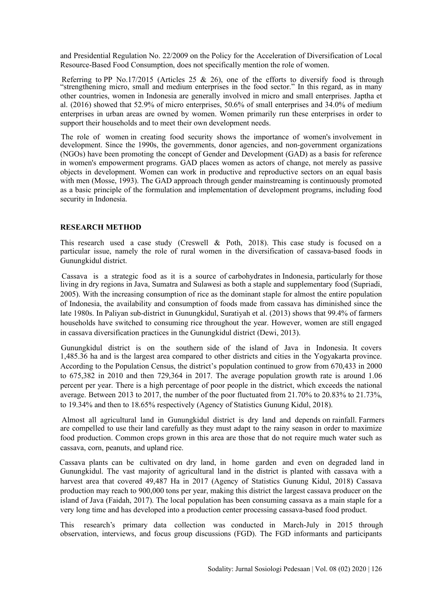and Presidential Regulation No. 22/2009 on the Policy for the Acceleration of Diversification of Local Resource-Based Food Consumption, does not specifically mention the role of women.

"strengthening micro, small and medium enterprises in the food sector." In this regard, as in many other countries, women in Indonesia are generally involved in micro and small enterprises. Japtha et al. (2016) showed that 52.9% of micro enterprises, 50.6% of small enterprises and 34.0% of medium enterprises in urban areas are owned by women. Women primarily run these enterprises in order to support their households and to meet their own development needs. Referring to PP No.17/2015 (Articles 25  $\&$  26), one of the efforts to diversify food is through

development. Since the 1990s, the governments, donor agencies, and non-government organizations (NGOs) have been promoting the concept of Gender and Development (GAD) as a basis for reference in women's empowerment programs. GAD places women as actors of change, not merely as passive objects in development. Women can work in productive and reproductive sectors on an equal basis with men (Mosse, 1993). The GAD approach through gender mainstreaming is continuously promoted as a basic principle of the formulation and implementation of development programs, including food security in Indonesia. The role of women in creating food security shows the importance of women's involvement in

# **RESEARCH METHOD**

particular issue, namely the role of rural women in the diversification of cassava-based foods in Gunungkidul district. This research used a case study (Creswell & Poth, 2018). This case study is focused on a

living in dry regions in Java, Sumatra and Sulawesi as both a staple and supplementary food (Supriadi, 2005). With the increasing consumption of rice as the dominant staple for almost the entire population of Indonesia, the availability and consumption of foods made from cassava has diminished since the late 1980s. In Paliyan sub-district in Gunungkidul, Suratiyah et al. (2013) shows that 99.4% of farmers households have switched to consuming rice throughout the year. However, women are still engaged in cassava diversification practices in the Gunungkidul district (Dewi, 2013). Cassava is a strategic food as it is a source of carbohydrates in Indonesia, particularly for those

1,485.36 ha and is the largest area compared to other districts and cities in the Yogyakarta province. According to the Population Census, the district's population continued to grow from 670,433 in 2000 to 675,382 in 2010 and then 729,364 in 2017. The average population growth rate is around 1.06 percent per year. There is a high percentage of poor people in the district, which exceeds the national average. Between 2013 to 2017, the number of the poor fluctuated from 21.70% to 20.83% to 21.73%, to 19.34% and then to 18.65% respectively (Agency of Statistics Gunung Kidul, 2018). Gunungkidul district is on the southern side of the island of Java in Indonesia. It covers

are compelled to use their land carefully as they must adapt to the rainy season in order to maximize food production. Common crops grown in this area are those that do not require much water such as cassava, corn, peanuts, and upland rice. Almost all agricultural land in Gunungkidul district is dry land and depends on rainfall. Farmers

Gunungkidul. The vast majority of agricultural land in the district is planted with cassava with a harvest area that covered 49,487 Ha in 2017 (Agency of Statistics Gunung Kidul, 2018) Cassava production may reach to 900,000 tons per year, making this district the largest cassava producer on the island of Java (Faidah, 2017). The local population has been consuming cassava as a main staple for a very long time and has developed into a production center processing cassava-based food product. Cassava plants can be cultivated on dry land, in home garden and even on degraded land in

observation, interviews, and focus group discussions (FGD). The FGD informants and participants This research's primary data collection was conducted in March-July in 2015 through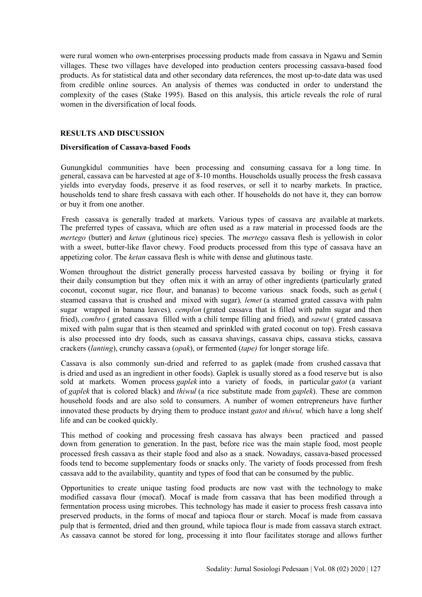were rural women who own enterprises processing products made from cassava in Ngawu and Semin villages. These two villages have developed into production centers processing cassava-based food products. As for statistical data and other secondary data references, the most up-to-date data was used from credible online sources. An analysis of themes was conducted in order to understand the complexity of the cases (Stake 1995). Based on this analysis, this article reveals the role of rural women in the diversification of local foods.

# **RESULTS AND DISCUSSION**

#### **Diversification of Cassava-based Foods**

yields into everyday foods, preserve it as food reserves, or sell it to nearby markets. In practice, households tend to share fresh cassava with each other. If households do not have it, they can borrow or buy it from one another. Gunungkidul communities have been processing and consuming cassava for a long time. In general, cassava can be harvested at age of 8-10 months. Households usually process the fresh cassava

The preferred types of cassava, which are often used as a raw material in processed foods are the *mertego* (butter) and *ketan* (glutinous rice) species. The *mertego* cassava flesh is yellowish in color with a sweet, butter-like flavor chewy. Food products processed from this type of cassava have an appetizing color. The *ketan* cassava flesh is white with dense and glutinous taste. Fresh cassava is generally traded at markets. Various types of cassava are available at markets.

their daily consumption but they often mix it with an array of other ingredients (particularly grated coconut, coconut sugar, rice flour, and bananas) to become various snack foods, such as *getuk* ( steamed cassava that is crushed and mixed with sugar)*, lemet* (a steamed grated cassava with palm sugar wrapped in banana leaves)*, cemplon* (grated cassava that is filled with palm sugar and then fried), *combro* ( grated cassava filled with a chili tempe filling and fried)*,* and *sawut* ( grated cassava mixed with palm sugar that is then steamed and sprinkled with grated coconut on top). Fresh cassava is also processed into dry foods, such as cassava shavings, cassava chips, cassava sticks, cassava crackers (*lanting*), crunchy cassava (*opak*), or fermented (*tape)* for longer storage life. Women throughout the district generally process harvested cassava by boiling or frying it for

sold at markets. Women process *gaplek* into a variety of foods, in particular *gatot* (a variant of *gaplek* that is colored black) and *thiwul* (a rice substitute made from *gaplek*). These are common household foods and are also sold to consumers. A number of women entrepreneurs have further innovated these products by drying them to produce instant *gatot* and *thiwul,* which have a long shelf life and can be cooked quickly. Cassava is also commonly sun-dried and referred to as gaplek (made from crushed cassava that is dried and used as an ingredient in other foods). Gaplek is usually stored as a food reserve but is also

down from generation to generation. In the past, before rice was the main staple food, most people processed fresh cassava as their staple food and also as a snack. Nowadays, cassava-based processed foods tend to become supplementary foods or snacks only. The variety of foods processed from fresh cassava add to the availability, quantity and types of food that can be consumed by the public. This method of cooking and processing fresh cassava has always been practiced and passed

fermentation process using microbes. This technology has made it easier to process fresh cassava into preserved products, in the forms of mocaf and tapioca flour or starch. Mocaf is made from cassava pulp that is fermented, dried and then ground, while tapioca flour is made from cassava starch extract. As cassava cannot be stored for long, processing it into flour facilitates storage and allows further Opportunities to create unique tasting food products are now vast with the technology to make modified cassava flour (mocaf). Mocaf is made from cassava that has been modified through a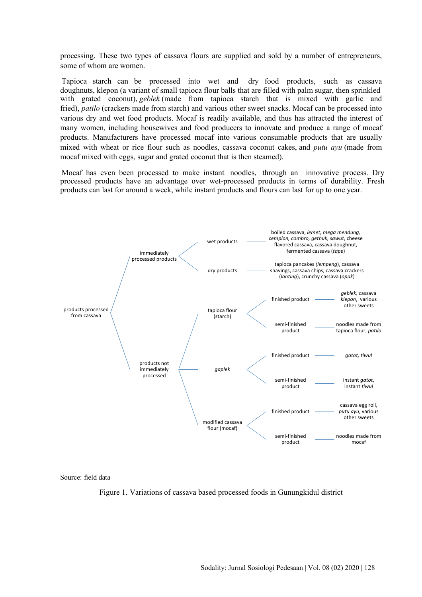processing. These two types of cassava flours are supplied and sold by a number of entrepreneurs, some of whom are women.

with grated coconut), *geblek* (made from tapioca starch that is mixed with garlic and fried), *patilo* (crackers made from starch) and various other sweet snacks. Mocaf can be processed into various dry and wet food products. Mocaf is readily available, and thus has attracted the interest of many women, including housewives and food producers to innovate and produce a range of mocaf products. Manufacturers have processed mocaf into various consumable products that are usually mixed with wheat or rice flour such as noodles, cassava coconut cakes, and *putu ayu* (made from mocaf mixed with eggs, sugar and grated coconut that is then steamed). Tapioca starch can be processed into wet and dry food products, such as cassava doughnuts, klepon (a variant of small tapioca flour balls that are filled with palm sugar, then sprinkled

products can last for around a week, while instant products and flours can last for up to one year. Mocaf has even been processed to make instant noodles, through an innovative process. Dry processed products have an advantage over wet-processed products in terms of durability. Fresh



Source: field data

Figure 1. Variations of cassava based processed foods in Gunungkidul district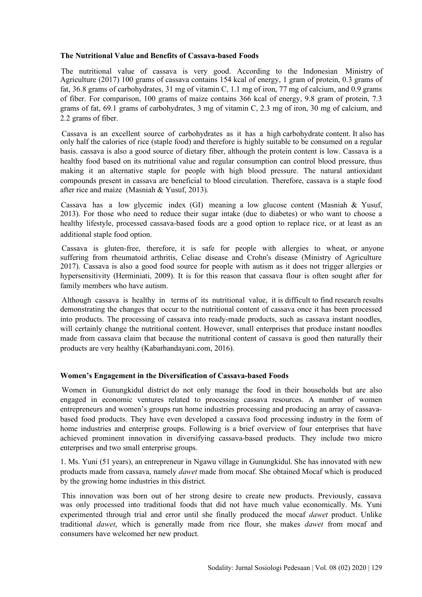# **The Nutritional Value and Benefits of Cassava-based Foods**

Agriculture (2017) 100 grams of cassava contains 154 kcal of energy, 1 gram of protein, 0.3 grams of fat, 36.8 grams of carbohydrates, 31 mg of vitamin C, 1.1 mg of iron, 77 mg of calcium, and 0.9 grams of fiber. For comparison, 100 grams of maize contains 366 kcal of energy, 9.8 gram of protein, 7.3 grams of fat, 69.1 grams of carbohydrates, 3 mg of vitamin C, 2.3 mg of iron, 30 mg of calcium, and 2.2 grams of fiber. The nutritional value of cassava is very good. According to the Indonesian Ministry of

only half the calories of rice (staple food) and therefore is highly suitable to be consumed on a regular basis. cassava is also a good source of dietary fiber, although the protein content is low. Cassava is a healthy food based on its nutritional value and regular consumption can control blood pressure, thus making it an alternative staple for people with high blood pressure. The natural antioxidant compounds present in cassava are beneficial to blood circulation. Therefore, cassava is a staple food after rice and maize (Masniah & Yusuf, 2013). Cassava is an excellent source of carbohydrates as it has a high carbohydrate content. It also has

2013). For those who need to reduce their sugar intake (due to diabetes) or who want to choose a healthy lifestyle, processed cassava-based foods are a good option to replace rice, or at least as an Cassava has a low glycemic index (GI) meaning a low glucose content (Masniah & Yusuf, additional staple food option.

2017). Cassava is also a good food source for people with autism as it does not trigger allergies or hypersensitivity (Herminiati, 2009). It is for this reason that cassava flour is often sought after for family members who have autism. Cassava is gluten-free, therefore, it is safe for people with allergies to wheat, or anyone suffering from rheumatoid arthritis, Celiac disease and Crohn's disease (Ministry of Agriculture

demonstrating the changes that occur to the nutritional content of cassava once it has been processed into products. The processing of cassava into ready-made products, such as cassava instant noodles, will certainly change the nutritional content. However, small enterprises that produce instant noodles made from cassava claim that because the nutritional content of cassava is good then naturally their products are very healthy (Kabarhandayani.com, 2016). Although cassava is healthy in terms of its nutritional value, it is difficult to find research results

# **Women's Engagement in the Diversification of Cassava-based Foods**

engaged in economic ventures related to processing cassava resources. A number of women entrepreneurs and women's groups run home industries processing and producing an array of cassavabased food products. They have even developed a cassava food processing industry in the form of home industries and enterprise groups. Following is a brief overview of four enterprises that have achieved prominent innovation in diversifying cassava-based products. They include two micro enterprises and two small enterprise groups. Women in Gunungkidul district do not only manage the food in their households but are also

1. Ms. Yuni (51 years), an entrepreneur in Ngawu village in Gunungkidul. She has innovated with new products made from cassava, namely *dawet* made from mocaf. She obtained Mocaf which is produced by the growing home industries in this district.

was only processed into traditional foods that did not have much value economically. Ms. Yuni experimented through trial and error until she finally produced the mocaf *dawet* product. Unlike traditional *dawet*, which is generally made from rice flour, she makes *dawet* from mocaf and consumers have welcomed her new product. This innovation was born out of her strong desire to create new products. Previously, cassava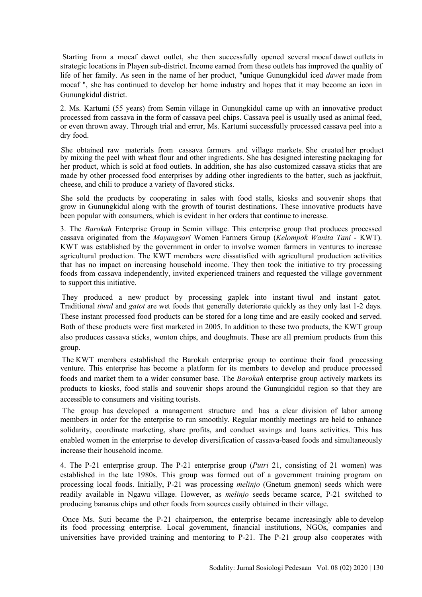life of her family. As seen in the name of her product, "unique Gunungkidul iced *dawet* made from mocaf ", she has continued to develop her home industry and hopes that it may become an icon in Gunungkidul district. Starting from a mocaf dawet outlet, she then successfully opened several mocaf dawet outlets in strategic locations in Playen sub-district. Income earned from these outlets has improved the quality of

2. Ms. Kartumi (55 years) from Semin village in Gunungkidul came up with an innovative product processed from cassava in the form of cassava peel chips. Cassava peel is usually used as animal feed, or even thrown away. Through trial and error, Ms. Kartumi successfully processed cassava peel into a dry food.

by mixing the peel with wheat flour and other ingredients. She has designed interesting packaging for her product, which is sold at food outlets. In addition, she has also customized cassava sticks that are made by other processed food enterprises by adding other ingredients to the batter, such as jackfruit, cheese, and chili to produce a variety of flavored sticks. She obtained raw materials from cassava farmers and village markets. She created her product

grow in Gunungkidul along with the growth of tourist destinations. These innovative products have been popular with consumers, which is evident in her orders that continue to increase. She sold the products by cooperating in sales with food stalls, kiosks and souvenir shops that

3. The *Barokah* Enterprise Group in Semin village. This enterprise group that produces processed cassava originated from the *Mayangsari* Women Farmers Group (*Kelompok Wanita Tani* - KWT). KWT was established by the government in order to involve women farmers in ventures to increase agricultural production. The KWT members were dissatisfied with agricultural production activities that has no impact on increasing household income. They then took the initiative to try processing foods from cassava independently, invited experienced trainers and requested the village government to support this initiative.

Traditional *tiwul* and *gatot* are wet foods that generally deteriorate quickly as they only last 1-2 days. These instant processed food products can be stored for a long time and are easily cooked and served. Both of these products were first marketed in 2005. In addition to these two products, the KWT group also produces cassava sticks, wonton chips, and doughnuts. These are all premium products from this group. They produced a new product by processing gaplek into instant tiwul and instant gatot.

venture. This enterprise has become a platform for its members to develop and produce processed foods and market them to a wider consumer base. The *Barokah* enterprise group actively markets its products to kiosks, food stalls and souvenir shops around the Gunungkidul region so that they are accessible to consumers and visiting tourists. The KWT members established the Barokah enterprise group to continue their food processing

members in order for the enterprise to run smoothly. Regular monthly meetings are held to enhance solidarity, coordinate marketing, share profits, and conduct savings and loans activities. This has enabled women in the enterprise to develop diversification of cassava-based foods and simultaneously increase their household income. The group has developed a management structure and has a clear division of labor among

4. The P-21 enterprise group. The P-21 enterprise group (*Putri* 21, consisting of 21 women) was established in the late 1980s. This group was formed out of a government training program on processing local foods. Initially, P-21 was processing *melinjo* (Gnetum gnemon) seeds which were readily available in Ngawu village. However, as *melinjo* seeds became scarce, P-21 switched to producing bananas chips and other foods from sources easily obtained in their village.

its food processing enterprise. Local government, financial institutions, NGOs, companies and universities have provided training and mentoring to P-21. The P-21 group also cooperates with Once Ms. Suti became the P-21 chairperson, the enterprise became increasingly able to develop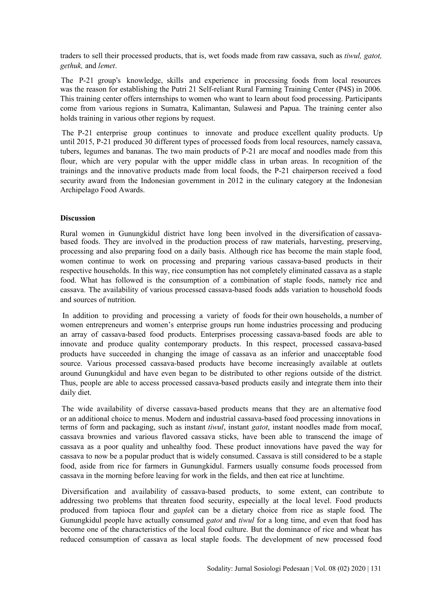traders to sell their processed products, that is, wet foods made from raw cassava, such as *tiwul, gatot, gethuk,* and *lemet*.

was the reason for establishing the Putri 21 Self-reliant Rural Farming Training Center (P4S) in 2006. This training center offers internships to women who want to learn about food processing. Participants come from various regions in Sumatra, Kalimantan, Sulawesi and Papua. The training center also holds training in various other regions by request. The P-21 group's knowledge, skills and experience in processing foods from local resources

until 2015, P-21 produced 30 different types of processed foods from local resources, namely cassava, tubers, legumes and bananas. The two main products of P-21 are mocaf and noodles made from this flour, which are very popular with the upper middle class in urban areas. In recognition of the trainings and the innovative products made from local foods, the P-21 chairperson received a food security award from the Indonesian government in 2012 in the culinary category at the Indonesian Archipelago Food Awards. The P-21 enterprise group continues to innovate and produce excellent quality products. Up

# **Discussion**

based foods. They are involved in the production process of raw materials, harvesting, preserving, processing and also preparing food on a daily basis. Although rice has become the main staple food, women continue to work on processing and preparing various cassava-based products in their respective households. In this way, rice consumption has not completely eliminated cassava as a staple food. What has followed is the consumption of a combination of staple foods, namely rice and cassava. The availability of various processed cassava-based foods adds variation to household foods and sources of nutrition. Rural women in Gunungkidul district have long been involved in the diversification of cassava-

women entrepreneurs and women's enterprise groups run home industries processing and producing an array of cassava-based food products. Enterprises processing cassava-based foods are able to innovate and produce quality contemporary products. In this respect, processed cassava-based products have succeeded in changing the image of cassava as an inferior and unacceptable food source. Various processed cassava-based products have become increasingly available at outlets around Gunungkidul and have even began to be distributed to other regions outside of the district. Thus, people are able to access processed cassava-based products easily and integrate them into their daily diet. In addition to providing and processing a variety of foods for their own households, a number of

terms of form and packaging, such as instant *tiwul*, instant *gatot*, instant noodles made from mocaf, cassava brownies and various flavored cassava sticks, have been able to transcend the image of cassava as a poor quality and unhealthy food. These product innovations have paved the way for cassava to now be a popular product that is widely consumed. Cassava is still considered to be a staple food, aside from rice for farmers in Gunungkidul. Farmers usually consume foods processed from cassava in the morning before leaving for work in the fields, and then eat rice at lunchtime. The wide availability of diverse cassava-based products means that they are an alternative food or an additional choice to menus. Modern and industrial cassava-based food processing innovations in

addressing two problems that threaten food security, especially at the local level. Food products produced from tapioca flour and *gaplek* can be a dietary choice from rice as staple food. The Gunungkidul people have actually consumed *gatot* and *tiwul* for a long time, and even that food has become one of the characteristics of the local food culture. But the dominance of rice and wheat has reduced consumption of cassava as local staple foods. The development of new processed food Diversification and availability of cassava-based products, to some extent, can contribute to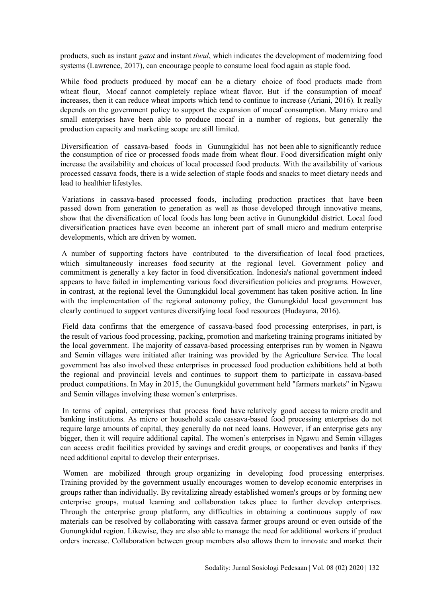products, such as instant *gatot* and instant *tiwul*, which indicates the development of modernizing food systems (Lawrence, 2017), can encourage people to consume local food again as staple food.

increases, then it can reduce wheat imports which tend to continue to increase (Ariani, 2016). It really depends on the government policy to support the expansion of mocaf consumption. Many micro and small enterprises have been able to produce mocaf in a number of regions, but generally the production capacity and marketing scope are still limited. While food products produced by mocaf can be a dietary choice of food products made from wheat flour. Mocaf cannot completely replace wheat flavor. But if the consumption of mocaf

the consumption of rice or processed foods made from wheat flour. Food diversification might only increase the availability and choices of local processed food products. With the availability of various processed cassava foods, there is a wide selection of staple foods and snacks to meet dietary needs and lead to healthier lifestyles. Diversification of cassava-based foods in Gunungkidul has not been able to significantly reduce

passed down from generation to generation as well as those developed through innovative means, show that the diversification of local foods has long been active in Gunungkidul district. Local food diversification practices have even become an inherent part of small micro and medium enterprise developments, which are driven by women. Variations in cassava-based processed foods, including production practices that have been

commitment is generally a key factor in food diversification. Indonesia's national government indeed appears to have failed in implementing various food diversification policies and programs. However, in contrast, at the regional level the Gunungkidul local government has taken positive action. In line with the implementation of the regional autonomy policy, the Gunungkidul local government has clearly continued to support ventures diversifying local food resources (Hudayana, 2016). A number of supporting factors have contributed to the diversification of local food practices, which simultaneously increases food security at the regional level. Government policy and

the local government. The majority of cassava-based processing enterprises run by women in Ngawu and Semin villages were initiated after training was provided by the Agriculture Service. The local government has also involved these enterprises in processed food production exhibitions held at both the regional and provincial levels and continues to support them to participate in cassava-based product competitions. In May in 2015, the Gunungkidul government held "farmers markets" in Ngawu and Semin villages involving these women's enterprises. Field data confirms that the emergence of cassava-based food processing enterprises, in part, is the result of various food processing, packing, promotion and marketing training programs initiated by

banking institutions. As micro or household scale cassava-based food processing enterprises do not require large amounts of capital, they generally do not need loans. However, if an enterprise gets any bigger, then it will require additional capital. The women's enterprises in Ngawu and Semin villages can access credit facilities provided by savings and credit groups, or cooperatives and banks if they need additional capital to develop their enterprises. In terms of capital, enterprises that process food have relatively good access to micro credit and

Training provided by the government usually encourages women to develop economic enterprises in groups rather than individually. By revitalizing already established women's groups or by forming new enterprise groups, mutual learning and collaboration takes place to further develop enterprises. Through the enterprise group platform, any difficulties in obtaining a continuous supply of raw materials can be resolved by collaborating with cassava farmer groups around or even outside of the Gunungkidul region. Likewise, they are also able to manage the need for additional workers if product orders increase. Collaboration between group members also allows them to innovate and market their Women are mobilized through group organizing in developing food processing enterprises.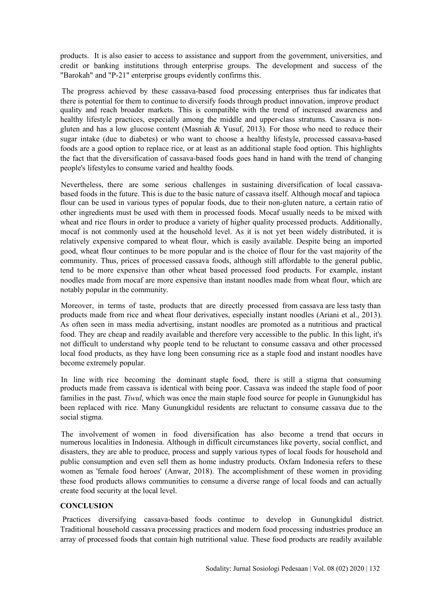products. It is also easier to access to assistance and support from the government, universities, and credit or banking institutions through enterprise groups. The development and success of the "Barokah" and "P-21" enterprise groups evidently confirms this.

quality and reach broader markets. This is compatible with the trend of increased awareness and healthy lifestyle practices, especially among the middle and upper-class stratums. Cassava is nongluten and has a low glucose content (Masniah & Yusuf, 2013). For those who need to reduce their sugar intake (due to diabetes) or who want to choose a healthy lifestyle, processed cassava-based foods are a good option to replace rice, or at least as an additional staple food option. This highlights the fact that the diversification of cassava-based foods goes hand in hand with the trend of changing people's lifestyles to consume varied and healthy foods. The progress achieved by these cassava-based food processing enterprises thus far indicates that there is potential for them to continue to diversify foods through product innovation, improve product

flour can be used in various types of popular foods, due to their non-gluten nature, a certain ratio of other ingredients must be used with them in processed foods. Mocaf usually needs to be mixed with wheat and rice flours in order to produce a variety of higher quality processed products. Additionally, mocaf is not commonly used at the household level. As it is not yet been widely distributed, it is relatively expensive compared to wheat flour, which is easily available. Despite being an imported good, wheat flour continues to be more popular and is the choice of flour for the vast majority of the community. Thus, prices of processed cassava foods, although still affordable to the general public, tend to be more expensive than other wheat based processed food products. For example, instant noodles made from mocaf are more expensive than instant noodles made from wheat flour, which are notably popular in the community. Nevertheless, there are some serious challenges in sustaining diversification of local cassavabased foods in the future. This is due to the basic nature of cassava itself. Although mocaf and tapioca

products made from rice and wheat flour derivatives, especially instant noodles (Ariani et al., 2013). As often seen in mass media advertising, instant noodles are promoted as a nutritious and practical food. They are cheap and readily available and therefore very accessible to the public. In this light, it's not difficult to understand why people tend to be reluctant to consume cassava and other processed local food products, as they have long been consuming rice as a staple food and instant noodles have become extremely popular. Moreover, in terms of taste, products that are directly processed from cassava are less tasty than

products made from cassava is identical with being poor. Cassava was indeed the staple food of poor families in the past. *Tiwul*, which was once the main staple food source for people in Gunungkidul has been replaced with rice. Many Gunungkidul residents are reluctant to consume cassava due to the social stigma. In line with rice becoming the dominant staple food, there is still a stigma that consuming

numerous localities in Indonesia. Although in difficult circumstances like poverty, social conflict, and disasters, they are able to produce, process and supply various types of local foods for household and public consumption and even sell them as home industry products. Oxfam Indonesia refers to these women as 'female food heroes' (Anwar, 2018). The accomplishment of these women in providing these food products allows communities to consume a diverse range of local foods and can actually create food security at the local level. The involvement of women in food diversification has also become a trend that occurs in

# **CONCLUSION**

Traditional household cassava processing practices and modern food processing industries produce an array of processed foods that contain high nutritional value. These food products are readily available Practices diversifying cassava-based foods continue to develop in Gunungkidul district.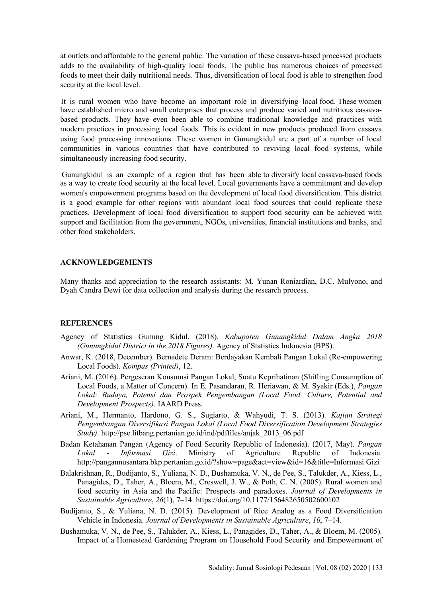at outlets and affordable to the general public. The variation of these cassava-based processed products adds to the availability of high-quality local foods. The public has numerous choices of processed foods to meet their daily nutritional needs. Thus, diversification of local food is able to strengthen food security at the local level.

have established micro and small enterprises that process and produce varied and nutritious cassavabased products. They have even been able to combine traditional knowledge and practices with modern practices in processing local foods. This is evident in new products produced from cassava using food processing innovations. These women in Gunungkidul are a part of a number of local communities in various countries that have contributed to reviving local food systems, while simultaneously increasing food security. It is rural women who have become an important role in diversifying local food. These women

as a way to create food security at the local level. Local governments have a commitment and develop women's empowerment programs based on the development of local food diversification. This district is a good example for other regions with abundant local food sources that could replicate these practices. Development of local food diversification to support food security can be achieved with support and facilitation from the government, NGOs, universities, financial institutions and banks, and other food stakeholders. Gunungkidul is an example of a region that has been able to diversify local cassava-based foods

# **ACKNOWLEDGEMENTS**

Many thanks and appreciation to the research assistants: M. Yunan Roniardian, D.C. Mulyono, and Dyah Candra Dewi for data collection and analysis during the research process.

# **REFERENCES**

- Agency of Statistics Gunung Kidul. (2018). *Kabupaten Gunungkidul Dalam Angka 2018 (Gunungkidul District in the 2018 Figures)*. Agency of Statistics Indonesia (BPS).
- Anwar, K. (2018, December). Bernadete Deram: Berdayakan Kembali Pangan Lokal (Re-empowering Local Foods). *Kompas (Printed)*, 12.
- Ariani, M. (2016). Pergeseran Konsumsi Pangan Lokal, Suatu Keprihatinan (Shifting Consumption of Local Foods, a Matter of Concern). In E. Pasandaran, R. Heriawan, & M. Syakir (Eds.), *Pangan Lokal: Budaya, Potensi dan Prospek Pengembangan (Local Food: Culture, Potential and Development Prospects)*. IAARD Press.
- Ariani, M., Hermanto, Hardono, G. S., Sugiarto, & Wahyudi, T. S. (2013). *Kajian Strategi Pengembangan Diversifikasi Pangan Lokal (Local Food Diversification Development Strategies Study)*. http://pse.litbang.pertanian.go.id/ind/pdffiles/anjak\_2013\_06.pdf
- Badan Ketahanan Pangan (Agency of Food Security Republic of Indonesia). (2017, May). *Pangan Lokal - Informasi Gizi*. Ministry of Agriculture Republic of Indonesia. http://pangannusantara.bkp.pertanian.go.id/?show=page&act=view&id=16&title=Informasi Gizi
- Balakrishnan, R., Budijanto, S., Yuliana, N. D., Bushamuka, V. N., de Pee, S., Talukder, A., Kiess, L., Panagides, D., Taher, A., Bloem, M., Creswell, J. W., & Poth, C. N. (2005). Rural women and food security in Asia and the Pacific: Prospects and paradoxes. *Journal of Developments in Sustainable Agriculture*, *26*(1), 7–14. https://doi.org/10.1177/156482650502600102
- Budijanto, S., & Yuliana, N. D. (2015). Development of Rice Analog as a Food Diversification Vehicle in Indonesia. *Journal of Developments in Sustainable Agriculture*, *10*, 7–14.
- Bushamuka, V. N., de Pee, S., Talukder, A., Kiess, L., Panagides, D., Taher, A., & Bloem, M. (2005). Impact of a Homestead Gardening Program on Household Food Security and Empowerment of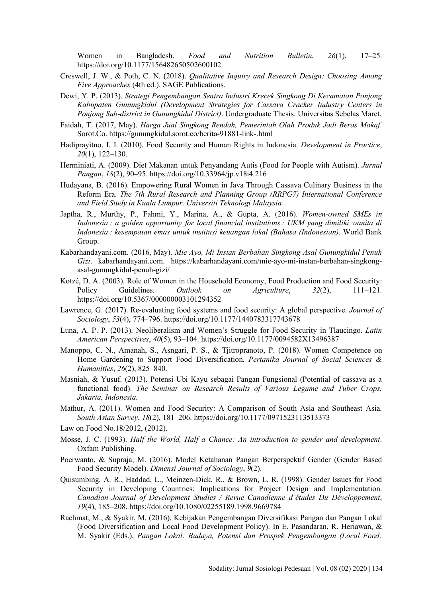Women in Bangladesh. *Food and Nutrition Bulletin*, *26*(1), 17–25. https://doi.org/10.1177/156482650502600102

- Creswell, J. W., & Poth, C. N. (2018). *Qualitative Inquiry and Research Design: Choosing Among Five Approaches* (4th ed.). SAGE Publications.
- Dewi, Y. P. (2013). *Strategi Pengembangan Sentra Industri Krecek Singkong Di Kecamatan Ponjong Kabupaten Gunungkidul (Development Strategies for Cassava Cracker Industry Centers in Ponjong Sub-district in Gunungkidul District)*. Undergraduate Thesis. Universitas Sebelas Maret.
- Faidah, T. (2017, May). *Harga Jual Singkong Rendah, Pemerintah Olah Produk Jadi Beras Mokaf*. Sorot.Co. https://gunungkidul.sorot.co/berita-91881-link-.html
- Hadiprayitno, I. I. (2010). Food Security and Human Rights in Indonesia. *Development in Practice*, *20*(1), 122–130.
- Herminiati, A. (2009). Diet Makanan untuk Penyandang Autis (Food for People with Autism). *Jurnal Pangan*, *18*(2), 90–95. https://doi.org/10.33964/jp.v18i4.216
- Hudayana, B. (2016). Empowering Rural Women in Java Through Cassava Culinary Business in the Reform Era. *The 7th Rural Research and Planning Group (RRPG7) International Conference and Field Study in Kuala Lumpur. Universiti Teknologi Malaysia.*
- Japtha, R., Murthy, P., Fahmi, Y., Marina, A., & Gupta, A. (2016). *Women-owned SMEs in Indonesia : a golden opportunity for local financial institutions : UKM yang dimiliki wanita di Indonesia : kesempatan emas untuk institusi keuangan lokal (Bahasa (Indonesian)*. World Bank Group.
- Kabarhandayani.com. (2016, May). *Mie Ayo, Mi Instan Berbahan Singkong Asal Gunungkidul Penuh Gizi*. kabarhandayani.com. https://kabarhandayani.com/mie-ayo-mi-instan-berbahan-singkongasal-gunungkidul-penuh-gizi/
- Kotzé, D. A. (2003). Role of Women in the Household Economy, Food Production and Food Security: Policy Guidelines. *Outlook on Agriculture*, *32*(2), 111–121. https://doi.org/10.5367/000000003101294352
- Lawrence, G. (2017). Re-evaluating food systems and food security: A global perspective. *Journal of Sociology*, *53*(4), 774–796. https://doi.org/10.1177/1440783317743678
- Luna, A. P. P. (2013). Neoliberalism and Women's Struggle for Food Security in Tlaucingo. *Latin American Perspectives*, *40*(5), 93–104. https://doi.org/10.1177/0094582X13496387
- Manoppo, C. N., Amanah, S., Asngari, P. S., & Tjitropranoto, P. (2018). Women Competence on Home Gardening to Support Food Diversification. *Pertanika Journal of Social Sciences & Humanities*, *26*(2), 825–840.
- Masniah, & Yusuf. (2013). Potensi Ubi Kayu sebagai Pangan Fungsional (Potential of cassava as a functional food). *The Seminar on Research Results of Various Legume and Tuber Crops. Jakarta, Indonesia*.
- Mathur, A. (2011). Women and Food Security: A Comparison of South Asia and Southeast Asia. *South Asian Survey*, *18*(2), 181–206. https://doi.org/10.1177/0971523113513373
- Law on Food No.18/2012, (2012).
- Mosse, J. C. (1993). *Half the World, Half a Chance: An introduction to gender and development*. Oxfam Publishing.
- Poerwanto, & Supraja, M. (2016). Model Ketahanan Pangan Berperspektif Gender (Gender Based Food Security Model). *Dimensi Journal of Sociology*, *9*(2).
- Quisumbing, A. R., Haddad, L., Meinzen-Dick, R., & Brown, L. R. (1998). Gender Issues for Food Security in Developing Countries: Implications for Project Design and Implementation. *Canadian Journal of Development Studies / Revue Canadienne d'études Du Développement*, *19*(4), 185–208. https://doi.org/10.1080/02255189.1998.9669784
- Rachmat, M., & Syakir, M. (2016). Kebijakan Pengembangan Diversifikasi Pangan dan Pangan Lokal (Food Diversification and Local Food Development Policy). In E. Pasandaran, R. Heriawan, & M. Syakir (Eds.), *Pangan Lokal: Budaya, Potensi dan Prospek Pengembangan (Local Food:*